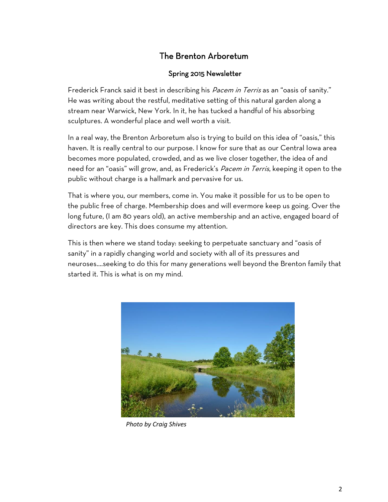# The Brenton Arboretum

# Spring 2015 Newsletter

Frederick Franck said it best in describing his *Pacem in Terris* as an "oasis of sanity." He was writing about the restful, meditative setting of this natural garden along a stream near Warwick, New York. In it, he has tucked a handful of his absorbing sculptures. A wonderful place and well worth a visit.

In a real way, the Brenton Arboretum also is trying to build on this idea of "oasis," this haven. It is really central to our purpose. I know for sure that as our Central Iowa area becomes more populated, crowded, and as we live closer together, the idea of and need for an "oasis" will grow, and, as Frederick's *Pacem in Terris*, keeping it open to the public without charge is a hallmark and pervasive for us.

That is where you, our members, come in. You make it possible for us to be open to the public free of charge. Membership does and will evermore keep us going. Over the long future, (I am 80 years old), an active membership and an active, engaged board of directors are key. This does consume my attention.

This is then where we stand today: seeking to perpetuate sanctuary and "oasis of sanity" in a rapidly changing world and society with all of its pressures and neuroses….seeking to do this for many generations well beyond the Brenton family that started it. This is what is on my mind.



*Photo by Craig Shives*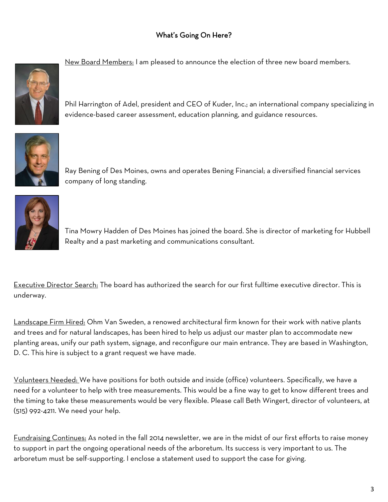# What"s Going On Here?



New Board Members: I am pleased to announce the election of three new board members.

Phil Harrington of Adel, president and CEO of Kuder, Inc.; an international company specializing in evidence-based career assessment, education planning, and guidance resources.



Ray Bening of Des Moines, owns and operates Bening Financial; a diversified financial services company of long standing.



Tina Mowry Hadden of Des Moines has joined the board. She is director of marketing for Hubbell Realty and a past marketing and communications consultant.

Executive Director Search: The board has authorized the search for our first fulltime executive director. This is underway.

Landscape Firm Hired: Ohm Van Sweden, a renowed architectural firm known for their work with native plants and trees and for natural landscapes, has been hired to help us adjust our master plan to accommodate new planting areas, unify our path system, signage, and reconfigure our main entrance. They are based in Washington, D. C. This hire is subject to a grant request we have made.

Volunteers Needed: We have positions for both outside and inside (office) volunteers. Specifically, we have a need for a volunteer to help with tree measurements. This would be a fine way to get to know different trees and the timing to take these measurements would be very flexible. Please call Beth Wingert, director of volunteers, at (515) 992-4211. We need your help.

Fundraising Continues: As noted in the fall 2014 newsletter, we are in the midst of our first efforts to raise money to support in part the ongoing operational needs of the arboretum. Its success is very important to us. The arboretum must be self-supporting. I enclose a statement used to support the case for giving.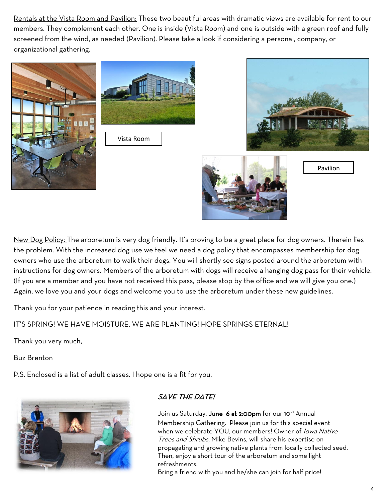Rentals at the Vista Room and Pavilion: These two beautiful areas with dramatic views are available for rent to our members. They complement each other. One is inside (Vista Room) and one is outside with a green roof and fully screened from the wind, as needed (Pavilion). Please take a look if considering a personal, company, or organizational gathering.





Vista Room



Pavilion

New Dog Policy: The arboretum is very dog friendly. It's proving to be a great place for dog owners. Therein lies the problem. With the increased dog use we feel we need a dog policy that encompasses membership for dog owners who use the arboretum to walk their dogs. You will shortly see signs posted around the arboretum with instructions for dog owners. Members of the arboretum with dogs will receive a hanging dog pass for their vehicle. (If you are a member and you have not received this pass, please stop by the office and we will give you one.) Again, we love you and your dogs and welcome you to use the arboretum under these new guidelines.

Thank you for your patience in reading this and your interest.

IT"S SPRING! WE HAVE MOISTURE. WE ARE PLANTING! HOPE SPRINGS ETERNAL!

Thank you very much,

Buz Brenton

P.S. Enclosed is a list of adult classes. I hope one is a fit for you.



# SAVE THE DATE!

Join us Saturday, June 6 at 2:00pm for our 10<sup>th</sup> Annual Membership Gathering. Please join us for this special event when we celebrate YOU, our members! Owner of lowa Native Trees and Shrubs, Mike Bevins, will share his expertise on propagating and growing native plants from locally collected seed. Then, enjoy a short tour of the arboretum and some light refreshments.

Bring a friend with you and he/she can join for half price!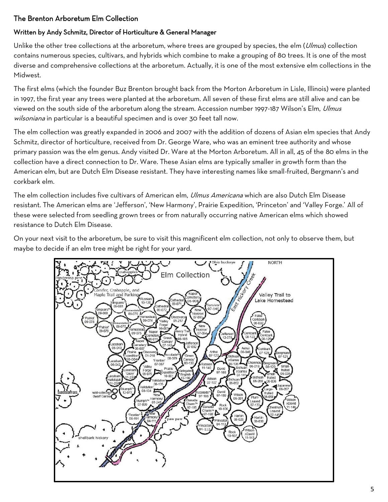# The Brenton Arboretum Elm Collection

## Written by Andy Schmitz, Director of Horticulture & General Manager

Unlike the other tree collections at the arboretum, where trees are grouped by species, the elm (Ulmus) collection contains numerous species, cultivars, and hybrids which combine to make a grouping of 80 trees. It is one of the most diverse and comprehensive collections at the arboretum. Actually, it is one of the most extensive elm collections in the Midwest.

The first elms (which the founder Buz Brenton brought back from the Morton Arboretum in Lisle, Illinois) were planted in 1997, the first year any trees were planted at the arboretum. All seven of these first elms are still alive and can be viewed on the south side of the arboretum along the stream. Accession number 1997-187 Wilson's Elm, *Ulmus* wilsoniana in particular is a beautiful specimen and is over 30 feet tall now.

The elm collection was greatly expanded in 2006 and 2007 with the addition of dozens of Asian elm species that Andy Schmitz, director of horticulture, received from Dr. George Ware, who was an eminent tree authority and whose primary passion was the elm genus. Andy visited Dr. Ware at the Morton Arboretum. All in all, 45 of the 80 elms in the collection have a direct connection to Dr. Ware. These Asian elms are typically smaller in growth form than the American elm, but are Dutch Elm Disease resistant. They have interesting names like small-fruited, Bergmann"s and corkbark elm.

The elm collection includes five cultivars of American elm, *Ulmus Americana* which are also Dutch Elm Disease resistant. The American elms are "Jefferson", "New Harmony", Prairie Expedition, "Princeton" and "Valley Forge." All of these were selected from seedling grown trees or from naturally occurring native American elms which showed resistance to Dutch Elm Disease.

On your next visit to the arboretum, be sure to visit this magnificent elm collection, not only to observe them, but maybe to decide if an elm tree might be right for your yard.

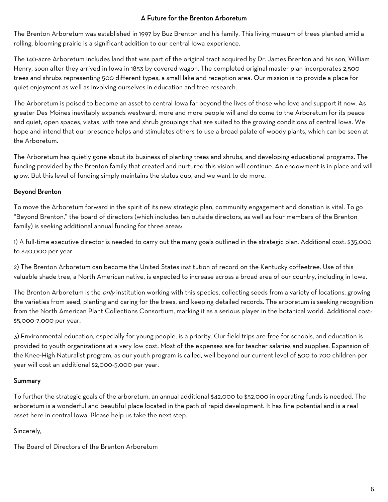### A Future for the Brenton Arboretum

The Brenton Arboretum was established in 1997 by Buz Brenton and his family. This living museum of trees planted amid a rolling, blooming prairie is a significant addition to our central Iowa experience.

The 140-acre Arboretum includes land that was part of the original tract acquired by Dr. James Brenton and his son, William Henry, soon after they arrived in Iowa in 1853 by covered wagon. The completed original master plan incorporates 2,500 trees and shrubs representing 500 different types, a small lake and reception area. Our mission is to provide a place for quiet enjoyment as well as involving ourselves in education and tree research.

The Arboretum is poised to become an asset to central Iowa far beyond the lives of those who love and support it now. As greater Des Moines inevitably expands westward, more and more people will and do come to the Arboretum for its peace and quiet, open spaces, vistas, with tree and shrub groupings that are suited to the growing conditions of central Iowa. We hope and intend that our presence helps and stimulates others to use a broad palate of woody plants, which can be seen at the Arboretum.

The Arboretum has quietly gone about its business of planting trees and shrubs, and developing educational programs. The funding provided by the Brenton family that created and nurtured this vision will continue. An endowment is in place and will grow. But this level of funding simply maintains the status quo, and we want to do more.

# Beyond Brenton

To move the Arboretum forward in the spirit of its new strategic plan, community engagement and donation is vital. To go "Beyond Brenton," the board of directors (which includes ten outside directors, as well as four members of the Brenton family) is seeking additional annual funding for three areas:

1) A full-time executive director is needed to carry out the many goals outlined in the strategic plan. Additional cost: \$35,000 to \$40,000 per year.

2) The Brenton Arboretum can become the United States institution of record on the Kentucky coffeetree. Use of this valuable shade tree, a North American native, is expected to increase across a broad area of our country, including in Iowa.

The Brenton Arboretum is the *only* institution working with this species, collecting seeds from a variety of locations, growing the varieties from seed, planting and caring for the trees, and keeping detailed records. The arboretum is seeking recognition from the North American Plant Collections Consortium, marking it as a serious player in the botanical world. Additional cost: \$5,000-7,000 per year.

3) Environmental education, especially for young people, is a priority. Our field trips are free for schools, and education is provided to youth organizations at a very low cost. Most of the expenses are for teacher salaries and supplies. Expansion of the Knee-High Naturalist program, as our youth program is called, well beyond our current level of 500 to 700 children per year will cost an additional \$2,000-5,000 per year.

# Summary

To further the strategic goals of the arboretum, an annual additional \$42,000 to \$52,000 in operating funds is needed. The arboretum is a wonderful and beautiful place located in the path of rapid development. It has fine potential and is a real asset here in central Iowa. Please help us take the next step.

Sincerely,

The Board of Directors of the Brenton Arboretum